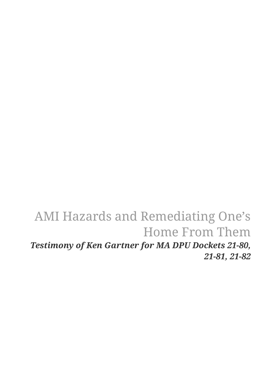# AMI Hazards and Remediating One's Home From Them *Testimony of Ken Gartner for MA DPU Dockets 21-80, 21-81, 21-82*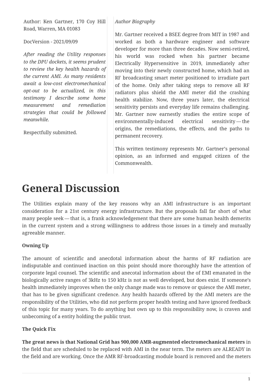Author: Ken Gartner, 170 Coy Hill Road, Warren, MA 01083

DocVersion - 2021/09/09

*After reading the Utility responses to the DPU dockets, it seems prudent to review the key health hazards of the current AMI. As many residents await a low-cost electromechanical opt-out to be actualized, in this testimony I describe some home measurement and remediation strategies that could be followed meanwhile.*

Respectfully submitted.

#### *Author Biography*

Mr. Gartner received a BSEE degree from MIT in 1987 and worked as both a hardware engineer and software developer for more than three decades. Now semi-retired, his world was rocked when his partner became Electrically Hypersensitive in 2019, immediately after moving into their newly constructed home, which had an RF broadcasting smart meter positioned to irradiate part of the home. Only after taking steps to remove all RF radiators plus shield the AMI meter did the crashing health stabilize. Now, three years later, the electrical sensitivity persists and everyday life remains challenging. Mr. Gartner now earnestly studies the entire scope of environmentally-induced electrical sensitivity — the origins, the remediations, the effects, and the paths to permanent recovery.

This written testimony represents Mr. Gartner's personal opinion, as an informed and engaged citizen of the Commonwealth.

# **General Discussion**

The Utilities explain many of the key reasons why an AMI infrastructure is an important consideration for a 21st century energy infrastructure. But the proposals fall far short of what many people seek — that is, a frank acknowledgement that there are some human health demerits in the current system and a strong willingness to address those issues in a timely and mutually agreeable manner.

#### **Owning Up**

The amount of scientific and anecdotal information about the harms of RF radiation are indisputable and continued inaction on this point should more thoroughly have the attention of corporate legal counsel. The scientific and anecotal information about the of EMI emanated in the biologically active ranges of 3kHz to 150 kHz is not as well developed, but does exist. If someone's health immediately improves when the only change made was to remove or quiesce the AMI meter, that has to be given significant credence. Any health hazards offered by the AMI meters are the responsibility of the Utilities, who did not perform proper health testing and have ignored feedback of this topic for many years. To do anything but own up to this responsibility now, is craven and unbecoming of a entity holding the public trust.

#### **The Quick Fix**

**The great news is that National Grid has 900,000 AMR-augmented electromechanical meters** in the field that are scheduled to be replaced with AMI in the near term. The meters are ALREADY in the field and are working. Once the AMR RF-broadcasting module board is removed and the meters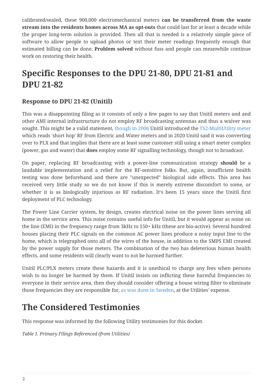calibrated/sealed, these 900,000 electromechanical meters **can be transferred from the waste stream into the residents homes across MA as opt-outs** that could last for at least a decade while the proper long-term solution is provided. Then all that is needed is a relatively simple piece of software to allow people to upload photos or text their meter readings frequently enough that estimated billing can be done. **Problem solved** without fuss and people can meanwhile continue work on restoring their health.

# **Specific Responses to the DPU 21-80, DPU 21-81 and DPU 21-82**

### **Response to DPU 21-82 (Unitil)**

This was a disappointing filing as it consists of only a few pages to say that Unitil meters and and other AMI internal infrastructure do not employ RF broadcasting antennas and thus a waiver was sought. This might be a valid statement, [though in 2006](https://www.utilityproducts.com/home/article/16003871/multiutility-system-for-electric-and-gas-meters-first-to-combine-plc-and-shorthop-rf-technologies) Unitil introduced the [TS2-MultiUtility meter](https://www.landisgyr.com/webfoo/wp-content/uploads/product-files/TS2_MultiUtility_ProductSheet1.pdf) which reads 'short hop' RF from Electric and Water meters and in 2020 Unitil said it was converting over to PLX and that implies that there are at least some customer still using a smart meter complex (power, gas and water) that **does** employ some RF signalling technology, though not to broadcast.

On paper, replacing RF broadcasting with a power-line communication strategy **should** be a laudable implementation and a relief for the RF-sensitive folks. But, again, insufficient health testing was done beforehand and there are "unexpected" biological side effects. This area has received very little study so we do not know if this is merely extreme discomfort to some, or whether it is as biologically injurious as RF radiation. It's been 15 years since the Unitil first deployment of PLC technology.

The Power Line Carrier system, by design, creates electrical noise on the power lines serving all home in the service area. This noise contains useful info for Unitil, but it would appear as noise on the line (EMI) in the frequency range from 3kHz to 150+ kHz (these are bio-active). Several hundred houses placing their PLC signals on the common AC power lines produce a noisy input line to the home, which is telegraphed onto all of the wires of the house, in addition to the SMPS EMI created by the power supply for those meters. The combination of the two has deleterious human health effects, and some residents will clearly want to not be harmed further.

Unitil PLC/PLX meters create these hazards and it is unethical to charge any fees when persons wish to no longer be harmed by them. If Unitil insists on inflicting these harmful frequencies to everyone in their service area, then they should consider offering a house wiring filter to eliminate those frequencies they are responsible for, [as was done in Sweden](https://www.eiwellspring.org/tech/FilteringNewSmartMeters.pdf), at the Utilities' expense.

# **The Considered Testimonies**

This response was informed by the following Utility testimonies for this docket.

*Table 1. Primary Filings Referenced (from Utilities)*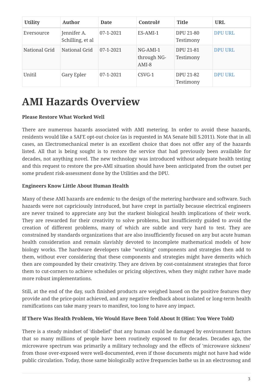| <b>Utility</b> | Author                          | Date        | Control#                         | <b>Title</b>                  | <b>URL</b>     |
|----------------|---------------------------------|-------------|----------------------------------|-------------------------------|----------------|
| Eversource     | Jennifer A.<br>Schilling, et al | 07-1-2021   | ES-AMI-1                         | <b>DPU 21-80</b><br>Testimony | <b>DPU URL</b> |
| National Grid  | National Grid                   | $07-1-2021$ | NG-AMI-1<br>through NG-<br>AMI-8 | DPU 21-81<br>Testimony        | <b>DPU URL</b> |
| Unitil         | Gary Epler                      | 07-1-2021   | CSVG-1                           | DPU 21-82<br>Testimony        | <b>DPU URL</b> |

# **AMI Hazards Overview**

#### **Please Restore What Worked Well**

There are numerous hazards associated with AMI metering. In order to avoid these hazards, residents would like a SAFE opt-out choice (as is requested in MA Senate bill S.2011). Note that in all cases, an Electromechanical meter is an excellent choice that does not offer any of the hazards listed. All that is being sought is to restore the service that had previously been available for decades, not anything novel. The new technology was introduced without adequate health testing and this request to restore the pre-AMI situation should have been anticipated from the outset per some prudent risk-assessment done by the Utilities and the DPU.

#### **Engineers Know Little About Human Health**

Many of these AMI hazards are endemic to the design of the metering hardware and software. Such hazards were not capriciously introduced, but have crept in partially because electrical engineers are never trained to appreciate any but the starkest biological health implications of their work. They are rewarded for their creativity to solve problems, but insufficiently guided to avoid the creation of different problems, many of which are subtle and very hard to test. They are constrained by standards organizations that are also insufficiently focused on any but acute human health consideration and remain slavishly devoted to incomplete mathematical models of how biology works. The hardware developers take "working" components and strategies then add to them, without ever considering that these components and strategies might have demerits which then are compounded by their creativity. They are driven by cost-containment strategies that force them to cut-corners to achieve schedules or pricing objectives, when they might rather have made more robust implementations.

Still, at the end of the day, such finished products are weighed based on the positive features they provide and the price-point achieved, and any negative feedback about isolated or long-term health ramifications can take many years to manifest, too long to have any impact.

#### **If There Was Health Problem, We Would Have Been Told About It (Hint: You Were Told)**

There is a steady mindset of 'disbelief' that any human could be damaged by environment factors that so many millions of people have been routinely exposed to for decades. Decades ago, the microwave spectrum was primarily a military technology and the effects of 'microwave sickness' from those over-exposed were well-documented, even if those documents might not have had wide public circulation. Today, those same biologically active frequencies bathe us in an electrosmog and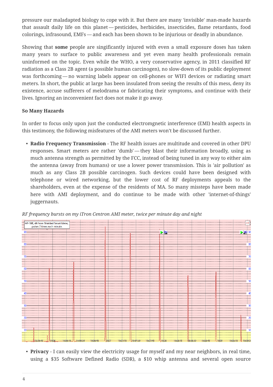pressure our maladapted biology to cope with it. But there are many 'invisible' man-made hazards that assault daily life on this planet — pesticides, herbicides, insecticides, flame retardants, food colorings, infrasound, EMFs — and each has been shown to be injurious or deadly in abundance.

Showing that **some** people are singificantly injured with even a small exposure doses has taken many years to surface to public awareness and yet even many health professionals remain uninformed on the topic. Even while the WHO, a very conservative agency, in 2011 classified RF radiation as a Class 2B agent (a possible human carcinogen), no slow-down of its public deployment was forthcoming — no warning labels appear on cell-phones or WIFI devices or radiating smart meters. In short, the public at large has been insulated from seeing the results of this mess, deny its existence, accuse sufferers of melodrama or fabricating their symptoms, and continue with their lives. Ignoring an inconvenient fact does not make it go away.

#### **So Many Hazards**

In order to focus only upon just the conducted electromgnetic interference (EMI) health aspects in this testimony, the following misfeatures of the AMI meters won't be discussed further.

• **Radio Frequency Transmission** - The RF health issues are multitude and covered in other DPU responses. Smart meters are rather 'dumb' — they blast their information broadly, using as much antenna strength as permitted by the FCC, instead of being tuned in any way to either aim the antenna (away from humans) or use a lower power transmission. This is 'air pollution' as much as any Class 2B possible carcinogen. Such devices could have been designed with telephone or wired networking, but the lower cost of RF deployments appeals to the shareholders, even at the expense of the residents of MA. So many missteps have been made here with AMI deployment, and do continue to be made with other 'internet-of-things' juggernauts.





• **Privacy** - I can easily view the electricity usage for myself and my near neighbors, in real time, using a \$35 Software Defined Radio (SDR), a \$10 whip antenna and several open source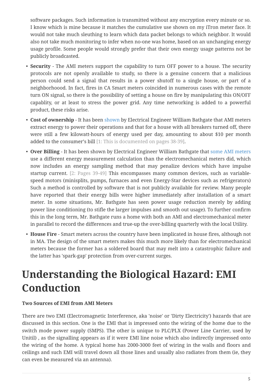software packages. Such information is transmitted without any encryption every minute or so. I know which is mine because it matches the cumulative use shown on my iTron meter face. It would not take much sleuthing to learn which data packet belongs to which neighbor. It would also not take much monitoring to infer when no-one was home, based on an unchanging energy usage profile. Some people would strongly prefer that their own energy usage patterns not be publicly broadcasted.

- **Security** The AMI meters support the capability to turn OFF power to a house. The security protocols are not openly available to study, so there is a genuine concern that a malicious person could send a signal that results in a power shutoff to a single house, or part of a neighborhoood. In fact, fires in CA Smart meters coincided in numerous cases with the remote turn ON signal, so there is the possibility of setting a house on fire by manipulating this ON/OFF capablity, or at least to stress the power grid. Any time networking is added to a powerful product, these risks arise.
- **Cost of ownership** It has been [shown](https://www.takebackyourpower.net/wp-content/uploads/2017/02/Evaluation-of-the-ITRON-Open-WayAMI-Meter-v6.pdf) by Electrical Engineer William Bathgate that AMI meters extract energy to power their operations and that for a house with all breakers turned off, there were still a few kilowatt-hours of energy used per day, amounting to about \$10 per month added to the consumer's bill [1: This is documented on pages 38-39].
- **Over Billing** It has been shown by Electrical Engineer William Bathgate that [some AMI meters](http://www.freedom2sayno2smartmeters.org/wp-content/uploads/2018/08/BATHGATE-5-10-18-BB-Evaluation-of-the-Aclara-I-210C-AMI-Meter-v1.22.pdf) use a different energy measurement calculation than the electromechanical meters did, which now includes an energy sampling method that may penalize devices which have impulse startup current. [2: Pages 39-49] This encompasses many common devices, such as variablespeed motors (minisplits, pumps, furnaces and even Energy-Star devices such as refrigerators) Such a method is controlled by software that is not publicly available for review. Many people have reported that their energy bills were higher immediately after installation of a smart meter. In some situations, Mr. Bathgate has seen power usage reduction merely by adding power line conditioning (to stifle the larger impulses and smooth out usage). To further confirm this in the long term, Mr. Bathgate runs a home with both an AMI and electromechanical meter in parallel to record the differences and true-up the over-billing quarterly with the local Utility.
- **House Fire** Smart meters across the country have been implicated in house fires, although not in MA. The design of the smart meters makes this much more likely than for electromechanical meters because the former has a soldered board that may melt into a catastrophic failure and the latter has 'spark-gap' protection from over-current surges.

# **Understanding the Biological Hazard: EMI Conduction**

#### **Two Sources of EMI from AMI Meters**

There are two EMI (Electromagnetic Interference, aka 'noise' or 'Dirty Electricity') hazards that are discussed in this section. One is the EMI that is impressed onto the wiring of the home due to the switch mode power supply (SMPS). The other is unique to PLC/PLX (Power Line Carrier, used by Unitil) , as the signalling appears as if it were EMI line noise which also indirectly impressed onto the wiring of the home. A typical home has 2000-3000 feet of wiring in the walls and floors and ceilings and such EMI will travel down all those lines and usually also radiates from them (ie, they can even be measured via an antenna).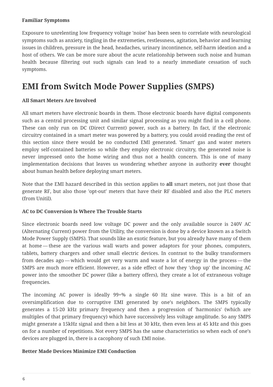#### **Familiar Symptoms**

Exposure to unrelenting low frequency voltage 'noise' has been seen to correlate with neurological symptoms such as anxiety, tingling in the extremeties, restlessness, agitation, behavior and learning issues in children, pressure in the head, headaches, urinary incontinence, self-harm ideation and a host of others. We can be more sure about the acute relationship between such noise and human health because filtering out such signals can lead to a nearly immediate cessation of such symptoms.

## **EMI from Switch Mode Power Supplies (SMPS)**

#### **All Smart Meters Are Involved**

All smart meters have electronic boards in them. Those electronic boards have digital components such as a central processing unit and similar signal processing as you might find in a cell phone. These can only run on DC (Direct Current) power, such as a battery. In fact, if the electronic circuitry contained in a smart meter was powered by a battery, you could avoid reading the rest of this section since there would be no conducted EMI generated. 'Smart' gas and water meters employ self-contained batteries so while they employ electronic circuitry, the generated noise is never impressed onto the home wiring and thus not a health concern. This is one of many implementation decisions that leaves us wondering whether anyone in authority **ever** thought about human health before deploying smart meters.

Note that the EMI hazard described in this section applies to **all** smart meters, not just those that generate RF, but also those 'opt-out' meters that have their RF disabled and also the PLC meters (from Unitil).

#### **AC to DC Conversion Is Where The Trouble Starts**

Since electronic boards need low voltage DC power and the only available source is 240V AC (Alternating Current) power from the Utility, the conversion is done by a device known as a Switch Mode Power Supply (SMPS). That sounds like an exotic feature, but you already have many of them at home — these are the various wall warts and power adaptors for your phones, computers, tablets, battery chargers and other small electric devices. In contrast to the bulky transformers from decades ago — which would get very warm and waste a lot of energy in the process — the SMPS are much more efficient. However, as a side effect of how they 'chop up' the incoming AC power into the smoother DC power (like a battery offers), they create a lot of extraneous voltage frequencies.

The incoming AC power is ideally 99+% a single 60 Hz sine wave. This is a bit of an oversimplification due to corruptive EMI generated by one's neighbors. The SMPS typically generates a 15-20 kHz primary frequency and then a progression of 'harmonics' (which are multiples of that primary frequency) which have successively less voltage amplitude. So any SMPS might generate a 15kHz signal and then a bit less at 30 kHz, then even less at 45 kHz and this goes on for a number of repetitions. Not every SMPS has the same characteristics so when each of one's devices are plugged in, there is a cacophony of such EMI noise.

#### **Better Made Devices Minimize EMI Conduction**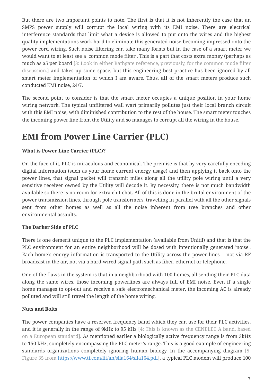But there are two important points to note. The first is that it is not inherently the case that an SMPS power supply will corrupt the local wiring with its EMI noise. There are electrical interference standards that limit what a device is allowed to put onto the wires and the highest quality implementations work hard to eliminate this generated noise becoming impressed onto the power cord wiring. Such noise filtering can take many forms but in the case of a smart meter we would want to at least see a 'common mode filter'. This is a part that costs extra money (perhaps as much as \$5 per board [3: Look in either Bathgate reference, previously, for the common mode filter discussion.] and takes up some space, but this engineering best practice has been ignored by all smart meter implementation of which I am aware. Thus, **all** of the smart meters produce such conducted EMI noise, 24/7.

The second point to consider is that the smart meter occupies a unique position in your home wiring network. The typical unfiltered wall wart primarily pollutes just their local branch circuit with this EMI noise, with diminished contribution to the rest of the house. The smart meter touches the incoming power line from the Utility and so manages to corrupt all the wiring in the house.

# **EMI from Power Line Carrier (PLC)**

#### **What is Power Line Carrier (PLC)?**

On the face of it, PLC is miraculous and economical. The premise is that by very carefully encoding digital information (such as your home current energy usage) and then applying it back onto the power lines, that signal packet will transmit miles along all the utility pole wiring until a very sensitive receiver owned by the Utility will decode it. By necessity, there is not much bandwidth available so there is no room for extra chit-chat. All of this is done in the brutal environment of the power transmission lines, through pole transformers, travelling in parallel with all the other signals sent from other homes as well as all the noise inherent from tree branches and other environmental assaults.

#### **The Darker Side of PLC**

There is one demerit unique to the PLC implementation (available from Unitil) and that is that the PLC environment for an entire neighborhood will be dosed with intentionally generated 'noise'. Each home's energy information is transported to the Utility across the power lines — not via RF broadcast in the air, not via a hard-wired signal path such as fiber, ethernet or telephone.

One of the flaws in the system is that in a neighborhood with 100 homes, all sending their PLC data along the same wires, those incoming powerlines are always full of EMI noise. Even if a single home manages to opt-out and receive a safe electromechanical meter, the incoming AC is already polluted and will still travel the length of the home wiring.

#### **Nuts and Bolts**

The power companies have a reserved frequency band which they can use for their PLC activities, and it is generally in the range of 9kHz to 95 kHz [4: This is known as the CENELEC A band, based on a European standard]. As mentioned earlier a biologically active frequency range is from 3kHz to 150 kHz, completely encompassing the PLC meter's range. This is a good example of engineering standards organizations completely ignoring human biology. In the accompanying diagram [5: Figure 35 from<https://www.ti.com/lit/an/slla164/slla164.pdf>], a typical PLC modem will produce 100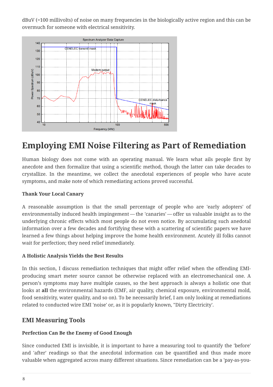dBuV (=100 millivolts) of noise on many frequencies in the biologically active region and this can be overmuch for someone with electrical sensitivity.



# **Employing EMI Noise Filtering as Part of Remediation**

Human biology does not come with an operating manual. We learn what ails people first by anecdote and then formalize that using a scientific method, though the latter can take decades to crystallize. In the meantime, we collect the anecdotal experiences of people who have acute symptoms, and make note of which remediating actions proved successful.

#### **Thank Your Local Canary**

A reasonable assumption is that the small percentage of people who are 'early adopters' of environmentally induced health impingement — the 'canaries' — offer us valuable insight as to the underlying chronic effects which most people do not even notice. By accumulating such anedotal information over a few decades and fortifying these with a scattering of scientific papers we have learned a few things about helping improve the home health environment. Acutely ill folks cannot wait for perfection; they need relief immediately.

#### **A Holistic Analysis Yields the Best Results**

In this section, I discuss remediation techniques that might offer relief when the offending EMIproducing smart meter source cannot be otherwise replaced with an electromechanical one. A person's symptoms may have multiple causes, so the best approach is always a holistic one that looks at **all** the environmental hazards (EMF, air quality, chemical exposure, environmental mold, food sensitivity, water quality, and so on). To be necessarily brief, I am only looking at remediations related to conducted wire EMI 'noise' or, as it is popularly known, "Dirty Electricity'.

#### **EMI Measuring Tools**

#### **Perfection Can Be the Enemy of Good Enough**

Since conducted EMI is invisible, it is important to have a measuring tool to quantify the 'before' and 'after' readings so that the anecdotal information can be quantified and thus made more valuable when aggregated across many different situations. Since remediation can be a 'pay-as-you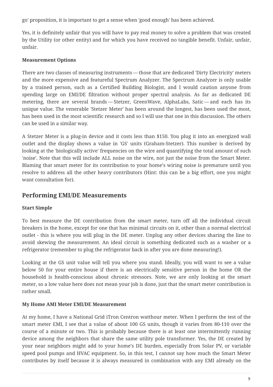go' proposition, it is important to get a sense when 'good enough' has been achieved.

Yes, it is definitely unfair that you will have to pay real money to solve a problem that was created by the Utility (or other entity) and for which you have received no tangible benefit. Unfair, unfair, unfair.

#### **Measurement Options**

There are two classes of measuring instruments — those that are dedicated 'Dirty Electricity' meters and the more expensive and featureful Spectrum Analyzer. The Spectrum Analyzer is only usable by a trained person, such as a Certified Building Biologist, and I would caution anyone from spending large on EMI/DE filtration without proper spectral analysis. As far as dedicated DE metering, there are several brands — Stetzer, GreenWave, AlphaLabs, Satic — and each has its unique value. The venerable 'Stetzer Meter' has been around the longest, has been used the most, has been used in the most scientific research and so I will use that one in this discussion. The others can be used in a similar way.

A Stetzer Meter is a plug-in device and it costs less than \$150. You plug it into an energized wall outlet and the display shows a value in 'GS' units (Graham-Stetzer). This number is derived by looking at the 'biologically active' frequencies on the wire and quantifying the total amount of such 'noise'. Note that this will include ALL noise on the wire, not just the noise from the Smart Meter. Blaming that smart meter for its contribution to your home's wiring noise is premature until you resolve to address all the other heavy contributors (Hint: this can be a big effort, one you might want consultation for).

### **Performing EMI/DE Measurements**

#### **Start Simple**

To best measure the DE contribution from the smart meter, turn off all the individual circuit breakers in the home, except for one that has minimal circuits on it, other than a normal electrical outlet - this is where you will plug in the DE meter. Unplug any other devices sharing the line to avoid skewing the measurement. An ideal circuit is something dedicated such as a washer or a refrigerator (remember to plug the refrigerator back in after you are done measuring!).

Looking at the GS unit value will tell you where you stand. Ideally, you will want to see a value below 50 for your entire house if there is an electrically sensitive person in the home OR the household is health-conscious about chronic stressors. Note, we are only looking at the smart meter, so a low value here does not mean your job is done, just that the smart meter contribution is rather small.

#### **My Home AMI Meter EMI/DE Measurement**

At my home, I have a National Grid iTron Centron watthour meter. When I perform the test of the smart meter EMI, I see that a value of about 100 GS units, though it varies from 80-110 over the course of a minute or two. This is probably because there is at least one intermittently running device among the neighbors that share the same utility pole transformer. Yes, the DE created by your near neighbors might add to your home's DE burden, especially from Solar PV, or variable speed pool pumps and HVAC equipment. So, in this test, I cannot say how much the Smart Meter contributes by itself because it is always measured in combination with any EMI already on the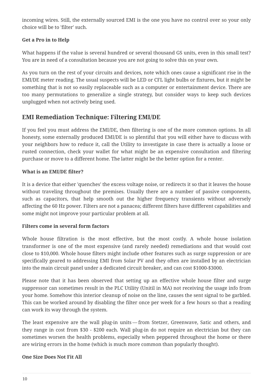incoming wires. Still, the externally sourced EMI is the one you have no control over so your only choice will be to 'filter' such.

#### **Get a Pro in to Help**

What happens if the value is several hundred or several thousand GS units, even in this small test? You are in need of a consultation because you are not going to solve this on your own.

As you turn on the rest of your circuits and devices, note which ones cause a significant rise in the EMI/DE meter reading. The usual suspects will be LED or CFL light bulbs or fixtures, but it might be something that is not so easily replaceable such as a computer or entertainment device. There are too many permutations to generalize a single strategy, but consider ways to keep such devices unplugged when not actively being used.

### **EMI Remediation Technique: Filtering EMI/DE**

If you feel you must address the EMI/DE, then filtering is one of the more common options. In all honesty, some externally produced EMI/DE is so plentiful that you will either have to discuss with your neighbors how to reduce it, call the Utility to investigate in case there is actually a loose or rusted connection, check your wallet for what might be an expensive consultation and filtering purchase or move to a different home. The latter might be the better option for a renter.

#### **What is an EMI/DE filter?**

It is a device that either 'quenches' the excess voltage noise, or redirects it so that it leaves the house without traveling throughout the premises. Usually there are a number of passive components, such as capacitors, that help smooth out the higher frequency transients without adversely affecting the 60 Hz power. Filters are not a panacea; different filters have diffferent capabilities and some might not improve your particular problem at all.

#### **Filters come in several form factors**

Whole house filtration is the most effective, but the most costly. A whole house isolation transformer is one of the most expensive (and rarely needed) remediations and that would cost close to \$10,000. Whole house filters might include other features such as surge suppression or are specifically geared to addressing EMI from Solar PV and they often are installed by an electrician into the main circuit panel under a dedicated circuit breaker, and can cost \$1000-\$3000.

Please note that it has been observed that setting up an effective whole house filter and surge suppressor can sometimes result in the PLC Utility (Unitil in MA) not receiving the usage info from your home. Somehow this interior cleanup of noise on the line, causes the sent signal to be garbled. This can be worked around by disabling the filter once per week for a few hours so that a reading can work its way through the system.

The least expensive are the wall plug-in units — from Stetzer, Greenwave, Satic and others, and they range in cost from \$30 - \$200 each. Wall plug-in do not require an electrician but they can sometimes worsen the health problems, especially when peppered throughout the home or there are wiring errors in the home (which is much more common than popularly thought).

#### **One Size Does Not Fit All**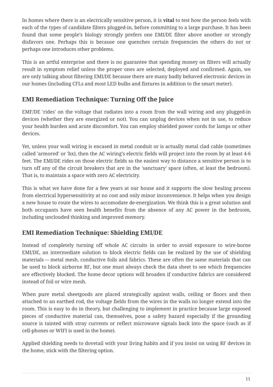In homes where there is an electrically sensitive person, it is **vital** to test how the person feels with each of the types of candidate filters plugged-in, before committing to a large purchase. It has been found that some people's biology strongly prefers one EMI/DE filter above another or strongly disfavors one. Perhaps this is because one quenches certain frequencies the others do not or perhaps one introduces other problems.

This is an artful enterprise and there is no guarantee that spending money on filters will actually result in symptom relief unless the proper ones are selected, deployed and confirmed. Again, we are only talking about filtering EMI/DE because there are many badly behaved electronic devices in our homes (including CFLs and most LED bulbs and fixtures in addition to the smart meter).

## **EMI Remediation Technique: Turning Off the Juice**

EMF/DE 'rides' on the voltage that radiates into a room from the wall wiring and any plugged-in devices (whether they are energized or not). You can unplug devices when not in use, to reduce your health burden and acute discomfort. You can employ shielded power cords for lamps or other devices.

Yet, unless your wall wiring is encased in metal conduit or is actually metal clad cable (sometimes called 'armored' or 'bx), then the AC wiring's electric fields will project into the room by at least 4-6 feet. The EMI/DE rides on those electric fields so the easiest way to distance a sensitive person is to turn off any of the circuit breakers that are in the 'sanctuary' space (often, at least the bedroom). That is, to maintain a space with zero AC electricity.

This is what we have done for a few years at our house and it supports the slow healing process from electrical hypersensitivity at no cost and only minor inconvenience. It helps when you design a new house to route the wires to accomodate de-energization. We think this is a great solution and both occupants have seen health benefits from the absence of any AC power in the bedroom, including unclouded thinking and improved memory.

## **EMI Remediation Technique: Shielding EMI/DE**

Instead of completely turning off whole AC circuits in order to avoid exposure to wire-borne EMI/DE, an intermediate solution to block electric fields can be realized by the use of shielding materials — metal mesh, conductive foils and fabrics. These are often the same materials that can be used to block airborne RF, but one must always check the data sheet to see which frequencies are effectively blocked. The home decor options will broaden if conductive fabrics are considered instead of foil or wire mesh.

When pure metal sheetgoods are placed strategically against walls, ceiling or floors and then attached to an earthed rod, the voltage fields from the wires in the walls no longer extend into the room. This is easy to do in theory, but challenging to implement in practice because large exposed pieces of conductive material can, themselves, pose a safety hazard especially if the grounding source is tainted with stray currents or reflect microwave signals back into the space (such as if cell-phones or WIFI is used in the home).

Applied shielding needs to dovetail with your living habits and if you insist on using RF devices in the home, stick with the filtering option.